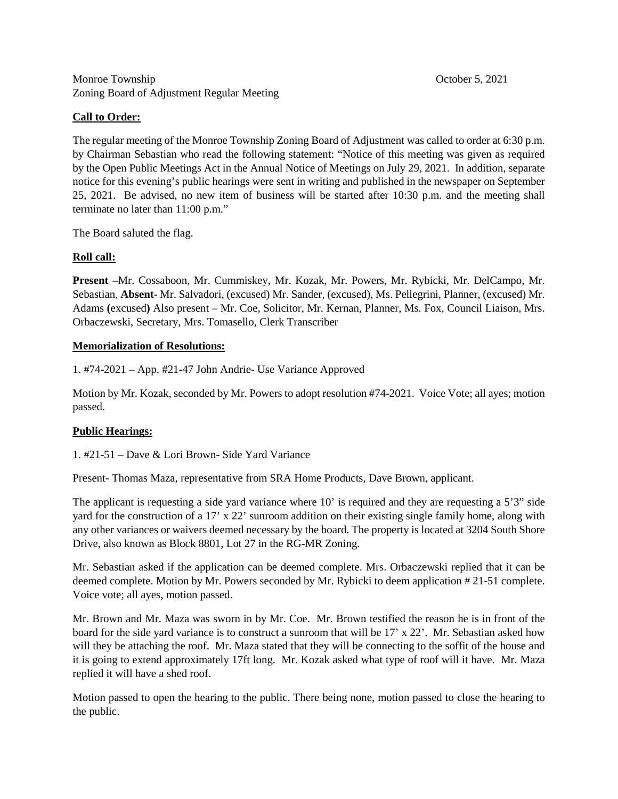## Monroe Township **October 5, 2021** Zoning Board of Adjustment Regular Meeting

# **Call to Order:**

The regular meeting of the Monroe Township Zoning Board of Adjustment was called to order at 6:30 p.m. by Chairman Sebastian who read the following statement: "Notice of this meeting was given as required by the Open Public Meetings Act in the Annual Notice of Meetings on July 29, 2021. In addition, separate notice for this evening's public hearings were sent in writing and published in the newspaper on September 25, 2021. Be advised, no new item of business will be started after 10:30 p.m. and the meeting shall terminate no later than 11:00 p.m."

The Board saluted the flag.

## **Roll call:**

**Present** –Mr. Cossaboon, Mr. Cummiskey, Mr. Kozak, Mr. Powers, Mr. Rybicki, Mr. DelCampo, Mr. Sebastian, **Absent**- Mr. Salvadori, (excused) Mr. Sander, (excused), Ms. Pellegrini, Planner, (excused) Mr. Adams **(**excused**)** Also present – Mr. Coe, Solicitor, Mr. Kernan, Planner, Ms. Fox, Council Liaison, Mrs. Orbaczewski, Secretary, Mrs. Tomasello, Clerk Transcriber

## **Memorialization of Resolutions:**

1. #74-2021 – App. #21-47 John Andrie- Use Variance Approved

Motion by Mr. Kozak, seconded by Mr. Powers to adopt resolution #74-2021. Voice Vote; all ayes; motion passed.

## **Public Hearings:**

1. #21-51 – Dave & Lori Brown- Side Yard Variance

Present- Thomas Maza, representative from SRA Home Products, Dave Brown, applicant.

The applicant is requesting a side yard variance where 10' is required and they are requesting a 5'3" side yard for the construction of a 17' x 22' sunroom addition on their existing single family home, along with any other variances or waivers deemed necessary by the board. The property is located at 3204 South Shore Drive, also known as Block 8801, Lot 27 in the RG-MR Zoning.

Mr. Sebastian asked if the application can be deemed complete. Mrs. Orbaczewski replied that it can be deemed complete. Motion by Mr. Powers seconded by Mr. Rybicki to deem application # 21-51 complete. Voice vote; all ayes, motion passed.

Mr. Brown and Mr. Maza was sworn in by Mr. Coe. Mr. Brown testified the reason he is in front of the board for the side yard variance is to construct a sunroom that will be 17' x 22'. Mr. Sebastian asked how will they be attaching the roof. Mr. Maza stated that they will be connecting to the soffit of the house and it is going to extend approximately 17ft long. Mr. Kozak asked what type of roof will it have. Mr. Maza replied it will have a shed roof.

Motion passed to open the hearing to the public. There being none, motion passed to close the hearing to the public.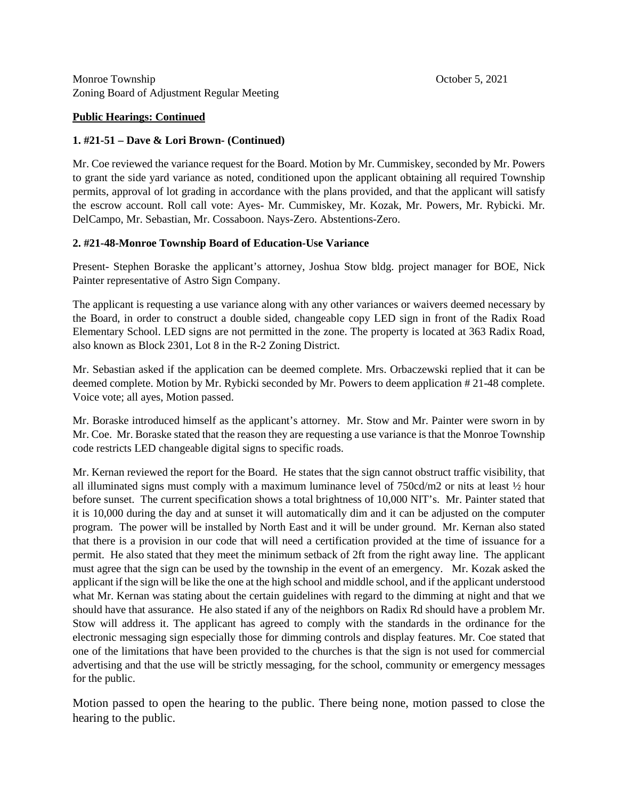Monroe Township **October 5, 2021** Zoning Board of Adjustment Regular Meeting

#### **Public Hearings: Continued**

#### **1. #21-51 – Dave & Lori Brown- (Continued)**

Mr. Coe reviewed the variance request for the Board. Motion by Mr. Cummiskey, seconded by Mr. Powers to grant the side yard variance as noted, conditioned upon the applicant obtaining all required Township permits, approval of lot grading in accordance with the plans provided, and that the applicant will satisfy the escrow account. Roll call vote: Ayes- Mr. Cummiskey, Mr. Kozak, Mr. Powers, Mr. Rybicki. Mr. DelCampo, Mr. Sebastian, Mr. Cossaboon. Nays-Zero. Abstentions-Zero.

#### **2. #21-48-Monroe Township Board of Education-Use Variance**

Present- Stephen Boraske the applicant's attorney, Joshua Stow bldg. project manager for BOE, Nick Painter representative of Astro Sign Company.

The applicant is requesting a use variance along with any other variances or waivers deemed necessary by the Board, in order to construct a double sided, changeable copy LED sign in front of the Radix Road Elementary School. LED signs are not permitted in the zone. The property is located at 363 Radix Road, also known as Block 2301, Lot 8 in the R-2 Zoning District.

Mr. Sebastian asked if the application can be deemed complete. Mrs. Orbaczewski replied that it can be deemed complete. Motion by Mr. Rybicki seconded by Mr. Powers to deem application # 21-48 complete. Voice vote; all ayes, Motion passed.

Mr. Boraske introduced himself as the applicant's attorney. Mr. Stow and Mr. Painter were sworn in by Mr. Coe. Mr. Boraske stated that the reason they are requesting a use variance is that the Monroe Township code restricts LED changeable digital signs to specific roads.

Mr. Kernan reviewed the report for the Board. He states that the sign cannot obstruct traffic visibility, that all illuminated signs must comply with a maximum luminance level of 750cd/m2 or nits at least ½ hour before sunset. The current specification shows a total brightness of 10,000 NIT's. Mr. Painter stated that it is 10,000 during the day and at sunset it will automatically dim and it can be adjusted on the computer program. The power will be installed by North East and it will be under ground. Mr. Kernan also stated that there is a provision in our code that will need a certification provided at the time of issuance for a permit. He also stated that they meet the minimum setback of 2ft from the right away line. The applicant must agree that the sign can be used by the township in the event of an emergency. Mr. Kozak asked the applicant if the sign will be like the one at the high school and middle school, and if the applicant understood what Mr. Kernan was stating about the certain guidelines with regard to the dimming at night and that we should have that assurance. He also stated if any of the neighbors on Radix Rd should have a problem Mr. Stow will address it. The applicant has agreed to comply with the standards in the ordinance for the electronic messaging sign especially those for dimming controls and display features. Mr. Coe stated that one of the limitations that have been provided to the churches is that the sign is not used for commercial advertising and that the use will be strictly messaging, for the school, community or emergency messages for the public.

Motion passed to open the hearing to the public. There being none, motion passed to close the hearing to the public.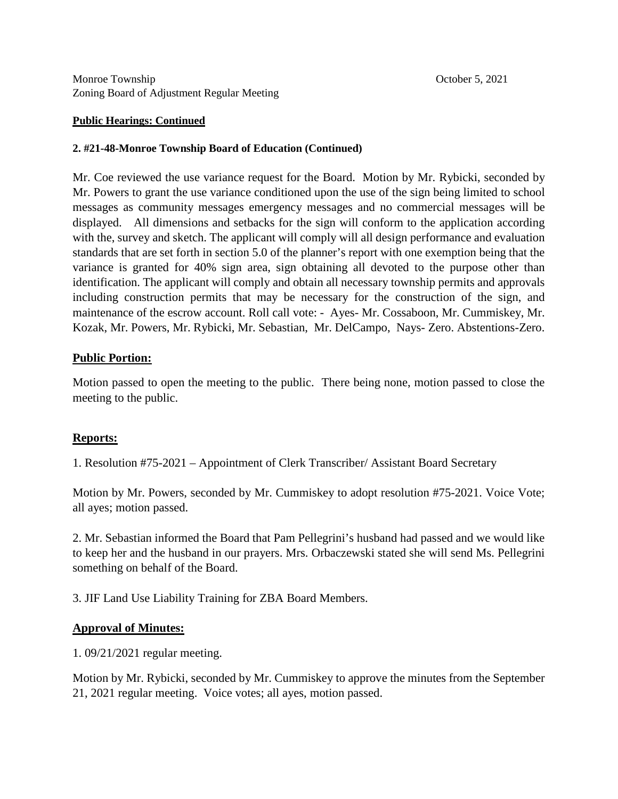#### **Public Hearings: Continued**

#### **2. #21-48-Monroe Township Board of Education (Continued)**

Mr. Coe reviewed the use variance request for the Board. Motion by Mr. Rybicki, seconded by Mr. Powers to grant the use variance conditioned upon the use of the sign being limited to school messages as community messages emergency messages and no commercial messages will be displayed. All dimensions and setbacks for the sign will conform to the application according with the, survey and sketch. The applicant will comply will all design performance and evaluation standards that are set forth in section 5.0 of the planner's report with one exemption being that the variance is granted for 40% sign area, sign obtaining all devoted to the purpose other than identification. The applicant will comply and obtain all necessary township permits and approvals including construction permits that may be necessary for the construction of the sign, and maintenance of the escrow account. Roll call vote: - Ayes- Mr. Cossaboon, Mr. Cummiskey, Mr. Kozak, Mr. Powers, Mr. Rybicki, Mr. Sebastian, Mr. DelCampo, Nays- Zero. Abstentions-Zero.

## **Public Portion:**

Motion passed to open the meeting to the public. There being none, motion passed to close the meeting to the public.

## **Reports:**

1. Resolution #75-2021 – Appointment of Clerk Transcriber/ Assistant Board Secretary

Motion by Mr. Powers, seconded by Mr. Cummiskey to adopt resolution #75-2021. Voice Vote; all ayes; motion passed.

2. Mr. Sebastian informed the Board that Pam Pellegrini's husband had passed and we would like to keep her and the husband in our prayers. Mrs. Orbaczewski stated she will send Ms. Pellegrini something on behalf of the Board.

3. JIF Land Use Liability Training for ZBA Board Members.

## **Approval of Minutes:**

1. 09/21/2021 regular meeting.

Motion by Mr. Rybicki, seconded by Mr. Cummiskey to approve the minutes from the September 21, 2021 regular meeting. Voice votes; all ayes, motion passed.